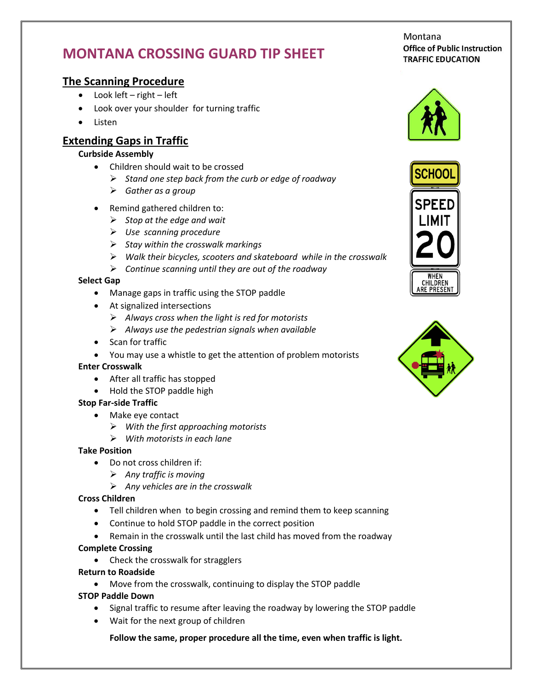# **MONTANA CROSSING GUARD TIP SHEET**

## **The Scanning Procedure**

- Look left right left
- Look over your shoulder for turning traffic
- Listen

# **Extending Gaps in Traffic**

#### **Curbside Assembly**

- Children should wait to be crossed
	- *Stand one step back from the curb or edge of roadway*
	- *Gather as a group*
- Remind gathered children to:
	- *Stop at the edge and wait*
	- *Use scanning procedure*
	- *Stay within the crosswalk markings*
	- *Walk their bicycles, scooters and skateboard while in the crosswalk*
	- *Continue scanning until they are out of the roadway*

#### **Select Gap**

- Manage gaps in traffic using the STOP paddle
- At signalized intersections
	- *Always cross when the light is red for motorists*
	- *Always use the pedestrian signals when available*
- Scan for traffic
- You may use a whistle to get the attention of problem motorists

#### **Enter Crosswalk**

- After all traffic has stopped
- Hold the STOP paddle high

#### **Stop Far-side Traffic**

- Make eye contact
	- *With the first approaching motorists*
	- *With motorists in each lane*

#### **Take Position**

- Do not cross children if:
	- *Any traffic is moving*
	- *Any vehicles are in the crosswalk*

#### **Cross Children**

- Tell children when to begin crossing and remind them to keep scanning
- Continue to hold STOP paddle in the correct position
- Remain in the crosswalk until the last child has moved from the roadway

#### **Complete Crossing**

• Check the crosswalk for stragglers

#### **Return to Roadside**

Move from the crosswalk, continuing to display the STOP paddle

#### **STOP Paddle Down**

- Signal traffic to resume after leaving the roadway by lowering the STOP paddle
- Wait for the next group of children

#### **Follow the same, proper procedure all the time, even when traffic is light.**

Montana **Office of Public Instruction TRAFFIC EDUCATION**